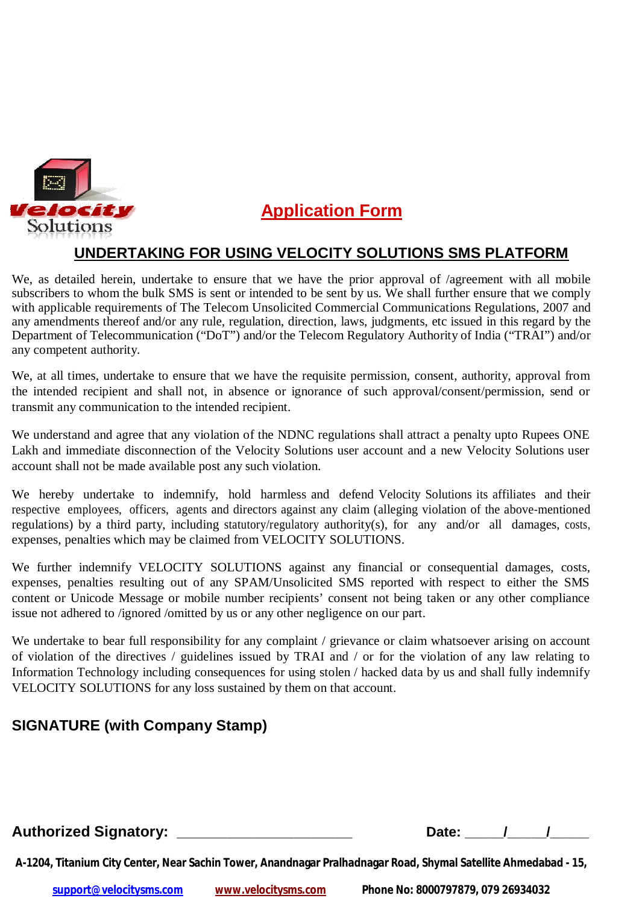

## **Application Form**

## **UNDERTAKING FOR USING VELOCITY SOLUTIONS SMS PLATFORM**

We, as detailed herein, undertake to ensure that we have the prior approval of /agreement with all mobile subscribers to whom the bulk SMS is sent or intended to be sent by us. We shall further ensure that we comply with applicable requirements of The Telecom Unsolicited Commercial Communications Regulations, 2007 and any amendments thereof and/or any rule, regulation, direction, laws, judgments, etc issued in this regard by the Department of Telecommunication ("DoT") and/or the Telecom Regulatory Authority of India ("TRAI") and/or any competent authority.

We, at all times, undertake to ensure that we have the requisite permission, consent, authority, approval from the intended recipient and shall not, in absence or ignorance of such approval/consent/permission, send or transmit any communication to the intended recipient.

We understand and agree that any violation of the NDNC regulations shall attract a penalty upto Rupees ONE Lakh and immediate disconnection of the Velocity Solutions user account and a new Velocity Solutions user account shall not be made available post any such violation.

We hereby undertake to indemnify, hold harmless and defend Velocity Solutions its affiliates and their respective employees, officers, agents and directors against any claim (alleging violation of the above-mentioned regulations) by a third party, including statutory/regulatory authority(s), for any and/or all damages, costs, expenses, penalties which may be claimed from VELOCITY SOLUTIONS.

We further indemnify VELOCITY SOLUTIONS against any financial or consequential damages, costs, expenses, penalties resulting out of any SPAM/Unsolicited SMS reported with respect to either the SMS content or Unicode Message or mobile number recipients' consent not being taken or any other compliance issue not adhered to /ignored /omitted by us or any other negligence on our part.

We undertake to bear full responsibility for any complaint / grievance or claim whatsoever arising on account of violation of the directives / guidelines issued by TRAI and / or for the violation of any law relating to Information Technology including consequences for using stolen / hacked data by us and shall fully indemnify VELOCITY SOLUTIONS for any loss sustained by them on that account.

## **SIGNATURE (with Company Stamp)**

Authorized Signatory: \_\_\_\_\_\_\_\_\_\_\_\_\_\_\_\_\_\_\_\_\_\_\_\_\_\_\_\_\_\_\_\_\_\_Date: \_\_\_\_\_/\_\_\_\_\_/\_\_\_\_\_\_\_

**A-1204, Titanium City Center, Near Sachin Tower, Anandnagar Pralhadnagar Road, Shymal Satellite Ahmedabad - 15,** 

**support@velocitysms.com www.velocitysms.com Phone No: 8000797879, 079 26934032**